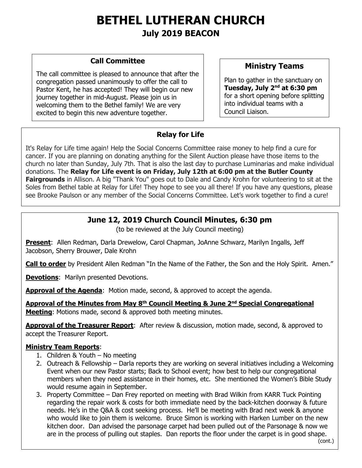# **BETHEL LUTHERAN CHURCH July 2019 BEACON**

#### **Call Committee**

The call committee is pleased to announce that after the congregation passed unanimously to offer the call to Pastor Kent, he has accepted! They will begin our new journey together in mid-August. Please join us in welcoming them to the Bethel family! We are very excited to begin this new adventure together.

## **Ministry Teams**

Plan to gather in the sanctuary on **Tuesday, July 2nd at 6:30 pm** for a short opening before splitting into individual teams with a Council Liaison.

## **Relay for Life**

It's Relay for Life time again! Help the Social Concerns Committee raise money to help find a cure for cancer. If you are planning on donating anything for the Silent Auction please have those items to the church no later than Sunday, July 7th. That is also the last day to purchase Luminarias and make individual donations. The **Relay for Life event is on Friday, July 12th at 6:00 pm at the Butler County Fairgrounds** in Allison. A big "Thank You" goes out to Dale and Candy Krohn for volunteering to sit at the Soles from Bethel table at Relay for Life! They hope to see you all there! If you have any questions, please see Brooke Paulson or any member of the Social Concerns Committee. Let's work together to find a cure!

## **June 12, 2019 Church Council Minutes, 6:30 pm**

(to be reviewed at the July Council meeting)

**Present**: Allen Redman, Darla Drewelow, Carol Chapman, JoAnne Schwarz, Marilyn Ingalls, Jeff Jacobson, Sherry Brouwer, Dale Krohn

**Call to order** by President Allen Redman "In the Name of the Father, the Son and the Holy Spirit. Amen."

**Devotions**: Marilyn presented Devotions.

**Approval of the Agenda**: Motion made, second, & approved to accept the agenda.

**Approval of the Minutes from May 8th Council Meeting & June 2nd Special Congregational Meeting**: Motions made, second & approved both meeting minutes.

**Approval of the Treasurer Report**: After review & discussion, motion made, second, & approved to accept the Treasurer Report.

#### **Ministry Team Reports**:

 $\overline{a}$ 

- 1. Children & Youth No meeting
- 2. Outreach & Fellowship Darla reports they are working on several initiatives including a Welcoming Event when our new Pastor starts; Back to School event; how best to help our congregational members when they need assistance in their homes, etc. She mentioned the Women's Bible Study would resume again in September.
- 3. Property Committee Dan Frey reported on meeting with Brad Wilkin from KARR Tuck Pointing regarding the repair work & costs for both immediate need by the back-kitchen doorway & future needs. He's in the Q&A & cost seeking process. He'll be meeting with Brad next week & anyone who would like to join them is welcome. Bruce Simon is working with Harken Lumber on the new kitchen door. Dan advised the parsonage carpet had been pulled out of the Parsonage & now we are in the process of pulling out staples. Dan reports the floor under the carpet is in good shape.

(cont.)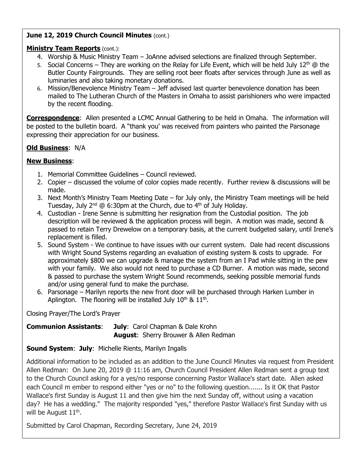#### **June 12, 2019 Church Council Minutes (cont.)**

#### **Ministry Team Reports** (cont.):

- 4. Worship & Music Ministry Team JoAnne advised selections are finalized through September.
- 5. Social Concerns They are working on the Relay for Life Event, which will be held July  $12<sup>th</sup>$  @ the Butler County Fairgrounds. They are selling root beer floats after services through June as well as luminaries and also taking monetary donations.
- 6. Mission/Benevolence Ministry Team Jeff advised last quarter benevolence donation has been mailed to The Lutheran Church of the Masters in Omaha to assist parishioners who were impacted by the recent flooding.

**Correspondence**: Allen presented a LCMC Annual Gathering to be held in Omaha. The information will be posted to the bulletin board. A "thank you' was received from painters who painted the Parsonage expressing their appreciation for our business.

#### **Old Business**: N/A

#### **New Business**:

- 1. Memorial Committee Guidelines Council reviewed.
- 2. Copier discussed the volume of color copies made recently. Further review & discussions will be made.
- 3. Next Month's Ministry Team Meeting Date for July only, the Ministry Team meetings will be held Tuesday, July  $2^{nd}$  @ 6:30pm at the Church, due to  $4^{th}$  of July Holiday.
- 4. Custodian Irene Senne is submitting her resignation from the Custodial position. The job description will be reviewed & the application process will begin. A motion was made, second & passed to retain Terry Drewelow on a temporary basis, at the current budgeted salary, until Irene's replacement is filled.
- 5. Sound System We continue to have issues with our current system. Dale had recent discussions with Wright Sound Systems regarding an evaluation of existing system & costs to upgrade. For approximately \$800 we can upgrade & manage the system from an I Pad while sitting in the pew with your family. We also would not need to purchase a CD Burner. A motion was made, second & passed to purchase the system Wright Sound recommends, seeking possible memorial funds and/or using general fund to make the purchase.
- 6. Parsonage Marilyn reports the new front door will be purchased through Harken Lumber in Aplington. The flooring will be installed July  $10^{th}$  &  $11^{th}$ .

Closing Prayer/The Lord's Prayer

#### **Communion Assistants**: **July**:Carol Chapman & Dale Krohn **August**:Sherry Brouwer & Allen Redman

#### **Sound System**: **July**:Michelle Rients, Marilyn Ingalls

Additional information to be included as an addition to the June Council Minutes via request from President Allen Redman: On June 20, 2019 @ 11:16 am, Church Council President Allen Redman sent a group text to the Church Council asking for a yes/no response concerning Pastor Wallace's start date. Allen asked each Council m ember to respond either "yes or no" to the following question....... Is it OK that Pastor Wallace's first Sunday is August 11 and then give him the next Sunday off, without using a vacation day? He has a wedding." The majority responded "yes," therefore Pastor Wallace's first Sunday with us will be August  $11^{\text{th}}$ .

Submitted by Carol Chapman, Recording Secretary, June 24, 2019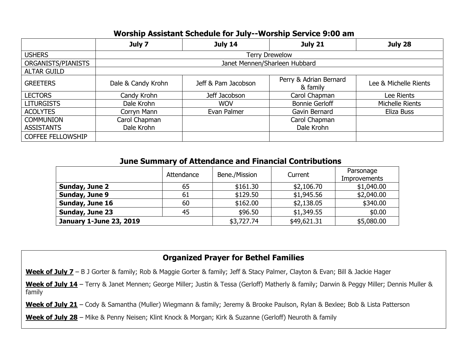## **Worship Assistant Schedule for July--Worship Service 9:00 am**

|                          | July 7                        | July 14             | <b>July 21</b>                     | July 28               |  |  |  |  |  |
|--------------------------|-------------------------------|---------------------|------------------------------------|-----------------------|--|--|--|--|--|
| <b>USHERS</b>            | <b>Terry Drewelow</b>         |                     |                                    |                       |  |  |  |  |  |
| ORGANISTS/PIANISTS       | Janet Mennen/Sharleen Hubbard |                     |                                    |                       |  |  |  |  |  |
| <b>ALTAR GUILD</b>       |                               |                     |                                    |                       |  |  |  |  |  |
| <b>GREETERS</b>          | Dale & Candy Krohn            | Jeff & Pam Jacobson | Perry & Adrian Bernard<br>& family | Lee & Michelle Rients |  |  |  |  |  |
| <b>LECTORS</b>           | Candy Krohn                   | Jeff Jacobson       | Carol Chapman                      | Lee Rients            |  |  |  |  |  |
| <b>LITURGISTS</b>        | Dale Krohn                    | <b>WOV</b>          | <b>Bonnie Gerloff</b>              | Michelle Rients       |  |  |  |  |  |
| <b>ACOLYTES</b>          | Corryn Mann                   | Evan Palmer         | Gavin Bernard                      | Eliza Buss            |  |  |  |  |  |
| <b>COMMUNION</b>         | Carol Chapman                 |                     | Carol Chapman                      |                       |  |  |  |  |  |
| <b>ASSISTANTS</b>        | Dale Krohn                    |                     | Dale Krohn                         |                       |  |  |  |  |  |
| <b>COFFEE FELLOWSHIP</b> |                               |                     |                                    |                       |  |  |  |  |  |

| <u>JUNC SUMMICITY OF ALLENGING AND FINANCIAL CONTINUUSITY</u> |            |               |             |                                  |  |  |  |  |  |
|---------------------------------------------------------------|------------|---------------|-------------|----------------------------------|--|--|--|--|--|
|                                                               | Attendance | Bene./Mission | Current     | Parsonage<br><b>Improvements</b> |  |  |  |  |  |
| Sunday, June 2                                                | 65         | \$161.30      | \$2,106.70  | \$1,040.00                       |  |  |  |  |  |
| Sunday, June 9                                                | 61         | \$129.50      | \$1,945.56  | \$2,040.00                       |  |  |  |  |  |
| Sunday, June 16                                               | 60         | \$162.00      | \$2,138.05  | \$340.00                         |  |  |  |  |  |
| Sunday, June 23                                               | 45         | \$96.50       | \$1,349.55  | \$0.00                           |  |  |  |  |  |
| <b>January 1-June 23, 2019</b>                                |            | \$3,727.74    | \$49,621.31 | \$5,080.00                       |  |  |  |  |  |

## **June Summary of Attendance and Financial Contributions**

## **Organized Prayer for Bethel Families**

**Week of July 7** – B J Gorter & family; Rob & Maggie Gorter & family; Jeff & Stacy Palmer, Clayton & Evan; Bill & Jackie Hager

Week of July 14 - Terry & Janet Mennen; George Miller; Justin & Tessa (Gerloff) Matherly & family; Darwin & Peggy Miller; Dennis Muller & family

**Week of July 21** – Cody & Samantha (Muller) Wiegmann & family; Jeremy & Brooke Paulson, Rylan & Bexlee; Bob & Lista Patterson

**Week of July 28** – Mike & Penny Neisen; Klint Knock & Morgan; Kirk & Suzanne (Gerloff) Neuroth & family